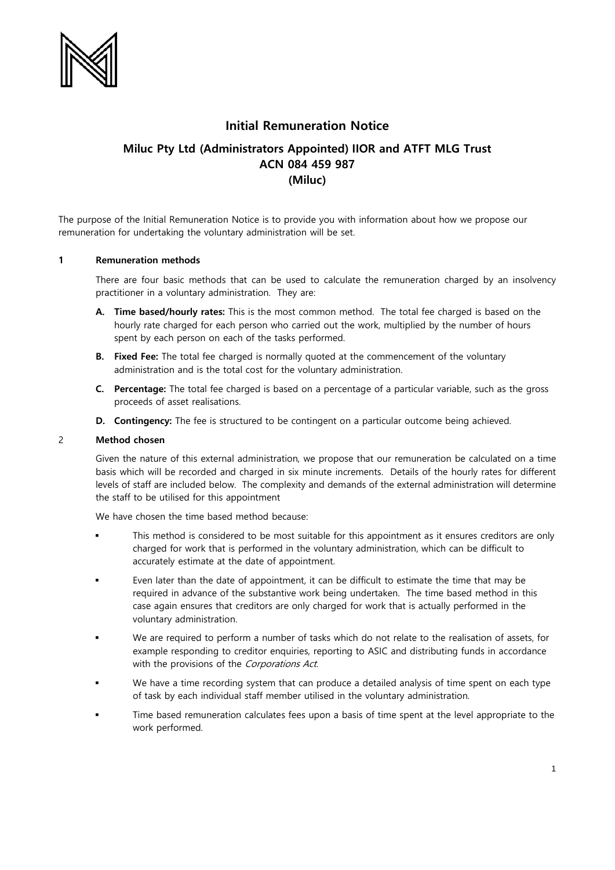

# **Initial Remuneration Notice**

# **Miluc Pty Ltd (Administrators Appointed) IIOR and ATFT MLG Trust ACN 084 459 987 (Miluc)**

The purpose of the Initial Remuneration Notice is to provide you with information about how we propose our remuneration for undertaking the voluntary administration will be set.

### **1 Remuneration methods**

There are four basic methods that can be used to calculate the remuneration charged by an insolvency practitioner in a voluntary administration. They are:

- **A. Time based/hourly rates:** This is the most common method. The total fee charged is based on the hourly rate charged for each person who carried out the work, multiplied by the number of hours spent by each person on each of the tasks performed.
- **B. Fixed Fee:** The total fee charged is normally quoted at the commencement of the voluntary administration and is the total cost for the voluntary administration.
- **C. Percentage:** The total fee charged is based on a percentage of a particular variable, such as the gross proceeds of asset realisations.
- **D. Contingency:** The fee is structured to be contingent on a particular outcome being achieved.

#### 2 **Method chosen**

Given the nature of this external administration, we propose that our remuneration be calculated on a time basis which will be recorded and charged in six minute increments. Details of the hourly rates for different levels of staff are included below. The complexity and demands of the external administration will determine the staff to be utilised for this appointment

We have chosen the time based method because:

- This method is considered to be most suitable for this appointment as it ensures creditors are only charged for work that is performed in the voluntary administration, which can be difficult to accurately estimate at the date of appointment.
- Even later than the date of appointment, it can be difficult to estimate the time that may be required in advance of the substantive work being undertaken. The time based method in this case again ensures that creditors are only charged for work that is actually performed in the voluntary administration.
- We are required to perform a number of tasks which do not relate to the realisation of assets, for example responding to creditor enquiries, reporting to ASIC and distributing funds in accordance with the provisions of the Corporations Act.
- We have a time recording system that can produce a detailed analysis of time spent on each type of task by each individual staff member utilised in the voluntary administration.
- Time based remuneration calculates fees upon a basis of time spent at the level appropriate to the work performed.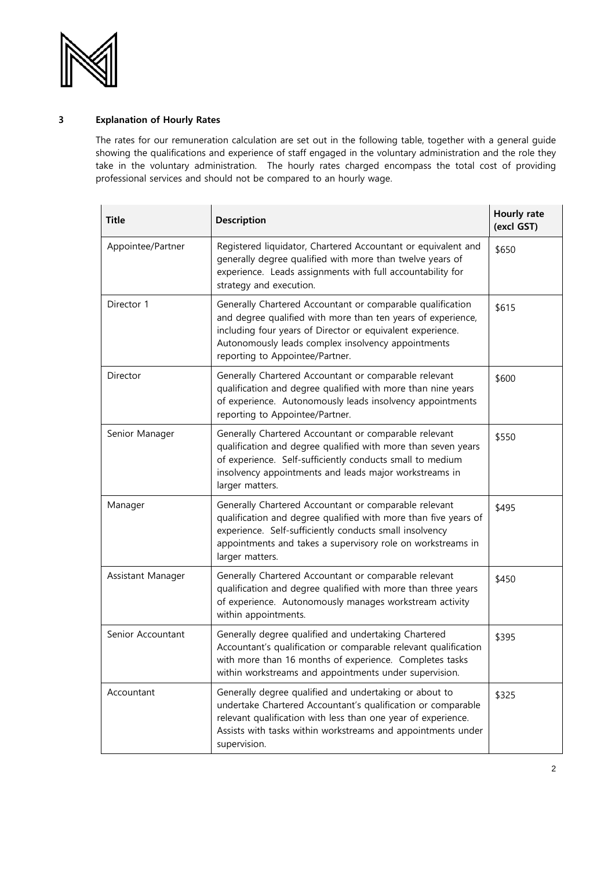

## **3 Explanation of Hourly Rates**

The rates for our remuneration calculation are set out in the following table, together with a general guide showing the qualifications and experience of staff engaged in the voluntary administration and the role they take in the voluntary administration. The hourly rates charged encompass the total cost of providing professional services and should not be compared to an hourly wage.

| <b>Title</b>      | <b>Description</b>                                                                                                                                                                                                                                                                | Hourly rate<br>(excl GST) |
|-------------------|-----------------------------------------------------------------------------------------------------------------------------------------------------------------------------------------------------------------------------------------------------------------------------------|---------------------------|
| Appointee/Partner | Registered liquidator, Chartered Accountant or equivalent and<br>generally degree qualified with more than twelve years of<br>experience. Leads assignments with full accountability for<br>strategy and execution.                                                               | \$650                     |
| Director 1        | Generally Chartered Accountant or comparable qualification<br>and degree qualified with more than ten years of experience,<br>including four years of Director or equivalent experience.<br>Autonomously leads complex insolvency appointments<br>reporting to Appointee/Partner. | \$615                     |
| Director          | Generally Chartered Accountant or comparable relevant<br>qualification and degree qualified with more than nine years<br>of experience. Autonomously leads insolvency appointments<br>reporting to Appointee/Partner.                                                             | \$600                     |
| Senior Manager    | Generally Chartered Accountant or comparable relevant<br>qualification and degree qualified with more than seven years<br>of experience. Self-sufficiently conducts small to medium<br>insolvency appointments and leads major workstreams in<br>larger matters.                  | \$550                     |
| Manager           | Generally Chartered Accountant or comparable relevant<br>qualification and degree qualified with more than five years of<br>experience. Self-sufficiently conducts small insolvency<br>appointments and takes a supervisory role on workstreams in<br>larger matters.             | \$495                     |
| Assistant Manager | Generally Chartered Accountant or comparable relevant<br>qualification and degree qualified with more than three years<br>of experience. Autonomously manages workstream activity<br>within appointments.                                                                         | \$450                     |
| Senior Accountant | Generally degree qualified and undertaking Chartered<br>Accountant's qualification or comparable relevant qualification<br>with more than 16 months of experience. Completes tasks<br>within workstreams and appointments under supervision.                                      | \$395                     |
| Accountant        | Generally degree qualified and undertaking or about to<br>undertake Chartered Accountant's qualification or comparable<br>relevant qualification with less than one year of experience.<br>Assists with tasks within workstreams and appointments under<br>supervision.           | \$325                     |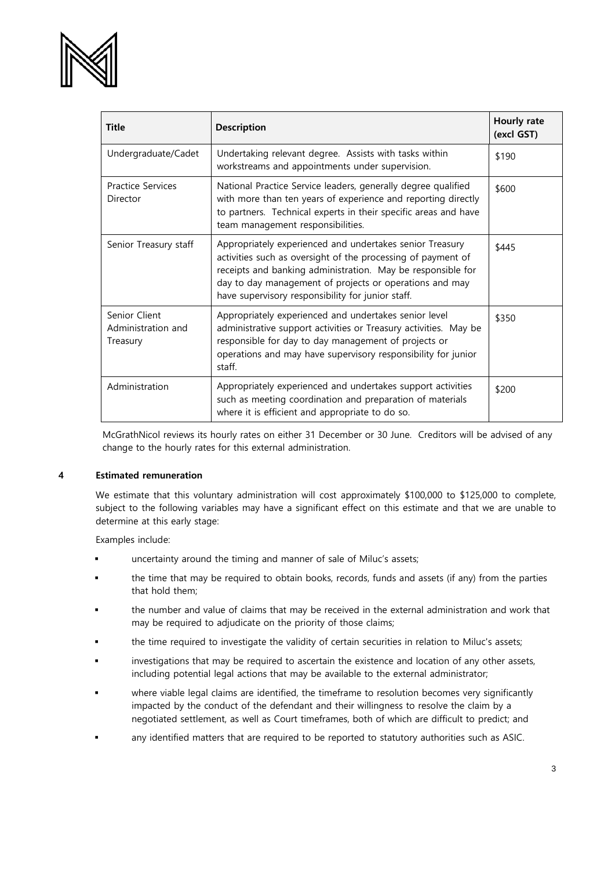

| <b>Title</b>                                    | <b>Description</b>                                                                                                                                                                                                                                                                                      | Hourly rate<br>(excl GST) |
|-------------------------------------------------|---------------------------------------------------------------------------------------------------------------------------------------------------------------------------------------------------------------------------------------------------------------------------------------------------------|---------------------------|
| Undergraduate/Cadet                             | Undertaking relevant degree. Assists with tasks within<br>workstreams and appointments under supervision.                                                                                                                                                                                               | \$190                     |
| <b>Practice Services</b><br>Director            | National Practice Service leaders, generally degree qualified<br>with more than ten years of experience and reporting directly<br>to partners. Technical experts in their specific areas and have<br>team management responsibilities.                                                                  | \$600                     |
| Senior Treasury staff                           | Appropriately experienced and undertakes senior Treasury<br>activities such as oversight of the processing of payment of<br>receipts and banking administration. May be responsible for<br>day to day management of projects or operations and may<br>have supervisory responsibility for junior staff. | \$445                     |
| Senior Client<br>Administration and<br>Treasury | Appropriately experienced and undertakes senior level<br>administrative support activities or Treasury activities. May be<br>responsible for day to day management of projects or<br>operations and may have supervisory responsibility for junior<br>staff.                                            | \$350                     |
| Administration                                  | Appropriately experienced and undertakes support activities<br>such as meeting coordination and preparation of materials<br>where it is efficient and appropriate to do so.                                                                                                                             | \$200                     |

McGrathNicol reviews its hourly rates on either 31 December or 30 June. Creditors will be advised of any change to the hourly rates for this external administration.

### **4 Estimated remuneration**

We estimate that this voluntary administration will cost approximately \$100,000 to \$125,000 to complete, subject to the following variables may have a significant effect on this estimate and that we are unable to determine at this early stage:

Examples include:

- uncertainty around the timing and manner of sale of Miluc's assets;
- the time that may be required to obtain books, records, funds and assets (if any) from the parties that hold them;
- the number and value of claims that may be received in the external administration and work that may be required to adjudicate on the priority of those claims;
- the time required to investigate the validity of certain securities in relation to Miluc's assets;
- investigations that may be required to ascertain the existence and location of any other assets, including potential legal actions that may be available to the external administrator;
- where viable legal claims are identified, the timeframe to resolution becomes very significantly impacted by the conduct of the defendant and their willingness to resolve the claim by a negotiated settlement, as well as Court timeframes, both of which are difficult to predict; and
- any identified matters that are required to be reported to statutory authorities such as ASIC.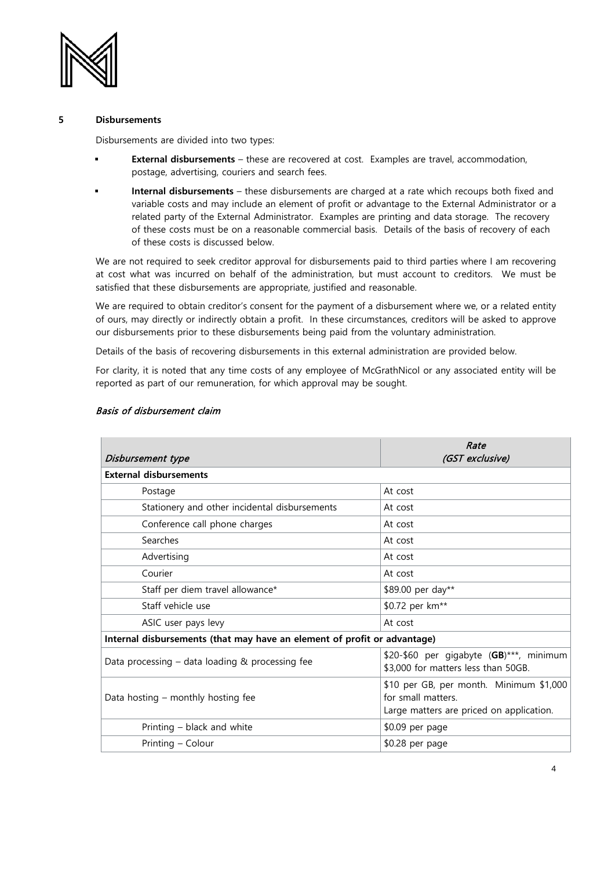

### **5 Disbursements**

Disbursements are divided into two types:

- **External disbursements** these are recovered at cost. Examples are travel, accommodation, postage, advertising, couriers and search fees.
- **Internal disbursements** these disbursements are charged at a rate which recoups both fixed and variable costs and may include an element of profit or advantage to the External Administrator or a related party of the External Administrator. Examples are printing and data storage. The recovery of these costs must be on a reasonable commercial basis. Details of the basis of recovery of each of these costs is discussed below.

We are not required to seek creditor approval for disbursements paid to third parties where I am recovering at cost what was incurred on behalf of the administration, but must account to creditors. We must be satisfied that these disbursements are appropriate, justified and reasonable.

We are required to obtain creditor's consent for the payment of a disbursement where we, or a related entity of ours, may directly or indirectly obtain a profit. In these circumstances, creditors will be asked to approve our disbursements prior to these disbursements being paid from the voluntary administration.

Details of the basis of recovering disbursements in this external administration are provided below.

For clarity, it is noted that any time costs of any employee of McGrathNicol or any associated entity will be reported as part of our remuneration, for which approval may be sought.

| Disbursement type                                                        | Rate<br>(GST exclusive)                                                                                   |  |  |  |
|--------------------------------------------------------------------------|-----------------------------------------------------------------------------------------------------------|--|--|--|
| <b>External disbursements</b>                                            |                                                                                                           |  |  |  |
| Postage                                                                  | At cost                                                                                                   |  |  |  |
| Stationery and other incidental disbursements                            | At cost                                                                                                   |  |  |  |
| Conference call phone charges                                            | At cost                                                                                                   |  |  |  |
| Searches                                                                 | At cost                                                                                                   |  |  |  |
| Advertising                                                              | At cost                                                                                                   |  |  |  |
| Courier                                                                  | At cost                                                                                                   |  |  |  |
| Staff per diem travel allowance*                                         | \$89.00 per day**                                                                                         |  |  |  |
| Staff vehicle use                                                        | \$0.72 per km <sup>**</sup>                                                                               |  |  |  |
| ASIC user pays levy                                                      | At cost                                                                                                   |  |  |  |
| Internal disbursements (that may have an element of profit or advantage) |                                                                                                           |  |  |  |
| Data processing $-$ data loading & processing fee                        | \$20-\$60 per gigabyte (GB)***, minimum<br>\$3,000 for matters less than 50GB.                            |  |  |  |
| Data hosting – monthly hosting fee                                       | \$10 per GB, per month. Minimum \$1,000<br>for small matters.<br>Large matters are priced on application. |  |  |  |
| Printing – black and white                                               | \$0.09 per page                                                                                           |  |  |  |
| Printing - Colour                                                        | \$0.28 per page                                                                                           |  |  |  |

### Basis of disbursement claim